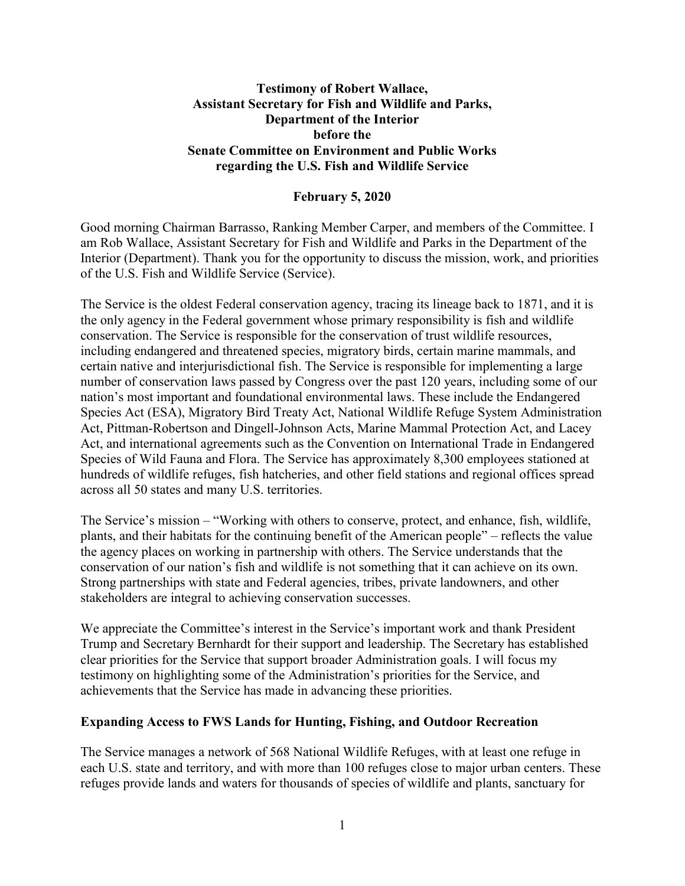### **Testimony of Robert Wallace, Assistant Secretary for Fish and Wildlife and Parks, Department of the Interior before the Senate Committee on Environment and Public Works regarding the U.S. Fish and Wildlife Service**

### **February 5, 2020**

Good morning Chairman Barrasso, Ranking Member Carper, and members of the Committee. I am Rob Wallace, Assistant Secretary for Fish and Wildlife and Parks in the Department of the Interior (Department). Thank you for the opportunity to discuss the mission, work, and priorities of the U.S. Fish and Wildlife Service (Service).

The Service is the oldest Federal conservation agency, tracing its lineage back to 1871, and it is the only agency in the Federal government whose primary responsibility is fish and wildlife conservation. The Service is responsible for the conservation of trust wildlife resources, including endangered and threatened species, migratory birds, certain marine mammals, and certain native and interjurisdictional fish. The Service is responsible for implementing a large number of conservation laws passed by Congress over the past 120 years, including some of our nation's most important and foundational environmental laws. These include the Endangered Species Act (ESA), Migratory Bird Treaty Act, National Wildlife Refuge System Administration Act, Pittman-Robertson and Dingell-Johnson Acts, Marine Mammal Protection Act, and Lacey Act, and international agreements such as the Convention on International Trade in Endangered Species of Wild Fauna and Flora. The Service has approximately 8,300 employees stationed at hundreds of wildlife refuges, fish hatcheries, and other field stations and regional offices spread across all 50 states and many U.S. territories.

The Service's mission – "Working with others to conserve, protect, and enhance, fish, wildlife, plants, and their habitats for the continuing benefit of the American people" – reflects the value the agency places on working in partnership with others. The Service understands that the conservation of our nation's fish and wildlife is not something that it can achieve on its own. Strong partnerships with state and Federal agencies, tribes, private landowners, and other stakeholders are integral to achieving conservation successes.

We appreciate the Committee's interest in the Service's important work and thank President Trump and Secretary Bernhardt for their support and leadership. The Secretary has established clear priorities for the Service that support broader Administration goals. I will focus my testimony on highlighting some of the Administration's priorities for the Service, and achievements that the Service has made in advancing these priorities.

#### **Expanding Access to FWS Lands for Hunting, Fishing, and Outdoor Recreation**

The Service manages a network of 568 National Wildlife Refuges, with at least one refuge in each U.S. state and territory, and with more than 100 refuges close to major urban centers. These refuges provide lands and waters for thousands of species of wildlife and plants, sanctuary for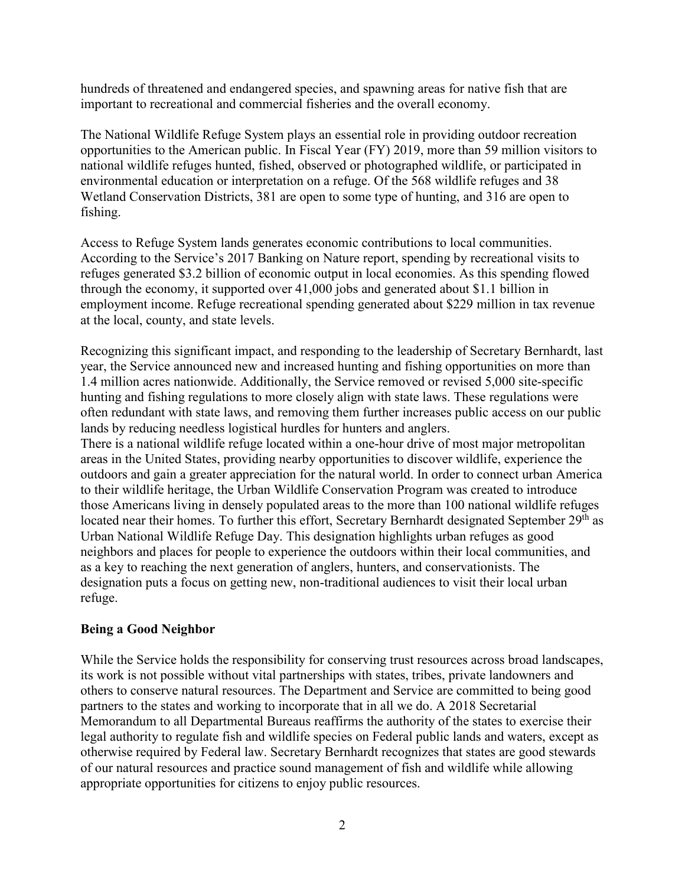hundreds of threatened and endangered species, and spawning areas for native fish that are important to recreational and commercial fisheries and the overall economy.

The National Wildlife Refuge System plays an essential role in providing outdoor recreation opportunities to the American public. In Fiscal Year (FY) 2019, more than 59 million visitors to national wildlife refuges hunted, fished, observed or photographed wildlife, or participated in environmental education or interpretation on a refuge. Of the 568 wildlife refuges and 38 Wetland Conservation Districts, 381 are open to some type of hunting, and 316 are open to fishing.

Access to Refuge System lands generates economic contributions to local communities. According to the Service's 2017 Banking on Nature report, spending by recreational visits to refuges generated \$3.2 billion of economic output in local economies. As this spending flowed through the economy, it supported over 41,000 jobs and generated about \$1.1 billion in employment income. Refuge recreational spending generated about \$229 million in tax revenue at the local, county, and state levels.

Recognizing this significant impact, and responding to the leadership of Secretary Bernhardt, last year, the Service announced new and increased hunting and fishing opportunities on more than 1.4 million acres nationwide. Additionally, the Service removed or revised 5,000 site-specific hunting and fishing regulations to more closely align with state laws. These regulations were often redundant with state laws, and removing them further increases public access on our public lands by reducing needless logistical hurdles for hunters and anglers.

There is a national wildlife refuge located within a one-hour drive of most major metropolitan areas in the United States, providing nearby opportunities to discover wildlife, experience the outdoors and gain a greater appreciation for the natural world. In order to connect urban America to their wildlife heritage, the Urban Wildlife Conservation Program was created to introduce those Americans living in densely populated areas to the more than 100 national wildlife refuges located near their homes. To further this effort, Secretary Bernhardt designated September 29<sup>th</sup> as Urban National Wildlife Refuge Day. This designation highlights urban refuges as good neighbors and places for people to experience the outdoors within their local communities, and as a key to reaching the next generation of anglers, hunters, and conservationists. The designation puts a focus on getting new, non-traditional audiences to visit their local urban refuge.

# **Being a Good Neighbor**

While the Service holds the responsibility for conserving trust resources across broad landscapes, its work is not possible without vital partnerships with states, tribes, private landowners and others to conserve natural resources. The Department and Service are committed to being good partners to the states and working to incorporate that in all we do. A 2018 Secretarial Memorandum to all Departmental Bureaus reaffirms the authority of the states to exercise their legal authority to regulate fish and wildlife species on Federal public lands and waters, except as otherwise required by Federal law. Secretary Bernhardt recognizes that states are good stewards of our natural resources and practice sound management of fish and wildlife while allowing appropriate opportunities for citizens to enjoy public resources.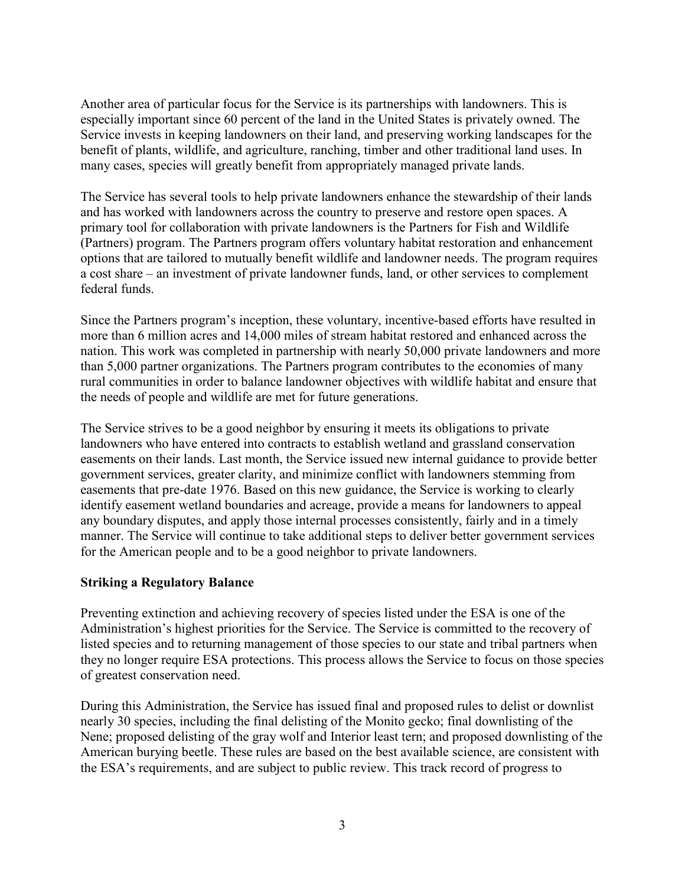Another area of particular focus for the Service is its partnerships with landowners. This is especially important since 60 percent of the land in the United States is privately owned. The Service invests in keeping landowners on their land, and preserving working landscapes for the benefit of plants, wildlife, and agriculture, ranching, timber and other traditional land uses. In many cases, species will greatly benefit from appropriately managed private lands.

The Service has several tools to help private landowners enhance the stewardship of their lands and has worked with landowners across the country to preserve and restore open spaces. A primary tool for collaboration with private landowners is the Partners for Fish and Wildlife (Partners) program. The Partners program offers voluntary habitat restoration and enhancement options that are tailored to mutually benefit wildlife and landowner needs. The program requires a cost share – an investment of private landowner funds, land, or other services to complement federal funds.

Since the Partners program's inception, these voluntary, incentive-based efforts have resulted in more than 6 million acres and 14,000 miles of stream habitat restored and enhanced across the nation. This work was completed in partnership with nearly 50,000 private landowners and more than 5,000 partner organizations. The Partners program contributes to the economies of many rural communities in order to balance landowner objectives with wildlife habitat and ensure that the needs of people and wildlife are met for future generations.

The Service strives to be a good neighbor by ensuring it meets its obligations to private landowners who have entered into contracts to establish wetland and grassland conservation easements on their lands. Last month, the Service issued new internal guidance to provide better government services, greater clarity, and minimize conflict with landowners stemming from easements that pre-date 1976. Based on this new guidance, the Service is working to clearly identify easement wetland boundaries and acreage, provide a means for landowners to appeal any boundary disputes, and apply those internal processes consistently, fairly and in a timely manner. The Service will continue to take additional steps to deliver better government services for the American people and to be a good neighbor to private landowners.

### **Striking a Regulatory Balance**

Preventing extinction and achieving recovery of species listed under the ESA is one of the Administration's highest priorities for the Service. The Service is committed to the recovery of listed species and to returning management of those species to our state and tribal partners when they no longer require ESA protections. This process allows the Service to focus on those species of greatest conservation need.

During this Administration, the Service has issued final and proposed rules to delist or downlist nearly 30 species, including the final delisting of the Monito gecko; final downlisting of the Nene; proposed delisting of the gray wolf and Interior least tern; and proposed downlisting of the American burying beetle. These rules are based on the best available science, are consistent with the ESA's requirements, and are subject to public review. This track record of progress to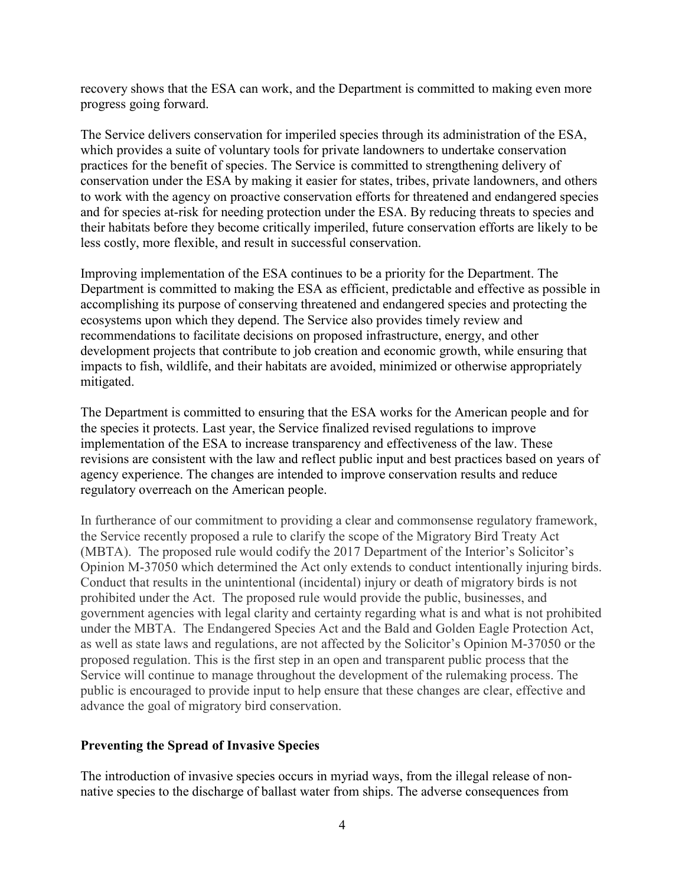recovery shows that the ESA can work, and the Department is committed to making even more progress going forward.

The Service delivers conservation for imperiled species through its administration of the ESA, which provides a suite of voluntary tools for private landowners to undertake conservation practices for the benefit of species. The Service is committed to strengthening delivery of conservation under the ESA by making it easier for states, tribes, private landowners, and others to work with the agency on proactive conservation efforts for threatened and endangered species and for species at-risk for needing protection under the ESA. By reducing threats to species and their habitats before they become critically imperiled, future conservation efforts are likely to be less costly, more flexible, and result in successful conservation.

Improving implementation of the ESA continues to be a priority for the Department. The Department is committed to making the ESA as efficient, predictable and effective as possible in accomplishing its purpose of conserving threatened and endangered species and protecting the ecosystems upon which they depend. The Service also provides timely review and recommendations to facilitate decisions on proposed infrastructure, energy, and other development projects that contribute to job creation and economic growth, while ensuring that impacts to fish, wildlife, and their habitats are avoided, minimized or otherwise appropriately mitigated.

The Department is committed to ensuring that the ESA works for the American people and for the species it protects. Last year, the Service finalized revised regulations to improve implementation of the ESA to increase transparency and effectiveness of the law. These revisions are consistent with the law and reflect public input and best practices based on years of agency experience. The changes are intended to improve conservation results and reduce regulatory overreach on the American people.

In furtherance of our commitment to providing a clear and commonsense regulatory framework, the Service recently proposed a rule to clarify the scope of the Migratory Bird Treaty Act (MBTA). The proposed rule would codify the 2017 Department of the Interior's Solicitor's Opinion M-37050 which determined the Act only extends to conduct intentionally injuring birds. Conduct that results in the unintentional (incidental) injury or death of migratory birds is not prohibited under the Act. The proposed rule would provide the public, businesses, and government agencies with legal clarity and certainty regarding what is and what is not prohibited under the MBTA. The Endangered Species Act and the Bald and Golden Eagle Protection Act, as well as state laws and regulations, are not affected by the Solicitor's Opinion M-37050 or the proposed regulation. This is the first step in an open and transparent public process that the Service will continue to manage throughout the development of the rulemaking process. The public is encouraged to provide input to help ensure that these changes are clear, effective and advance the goal of migratory bird conservation.

### **Preventing the Spread of Invasive Species**

The introduction of invasive species occurs in myriad ways, from the illegal release of nonnative species to the discharge of ballast water from ships. The adverse consequences from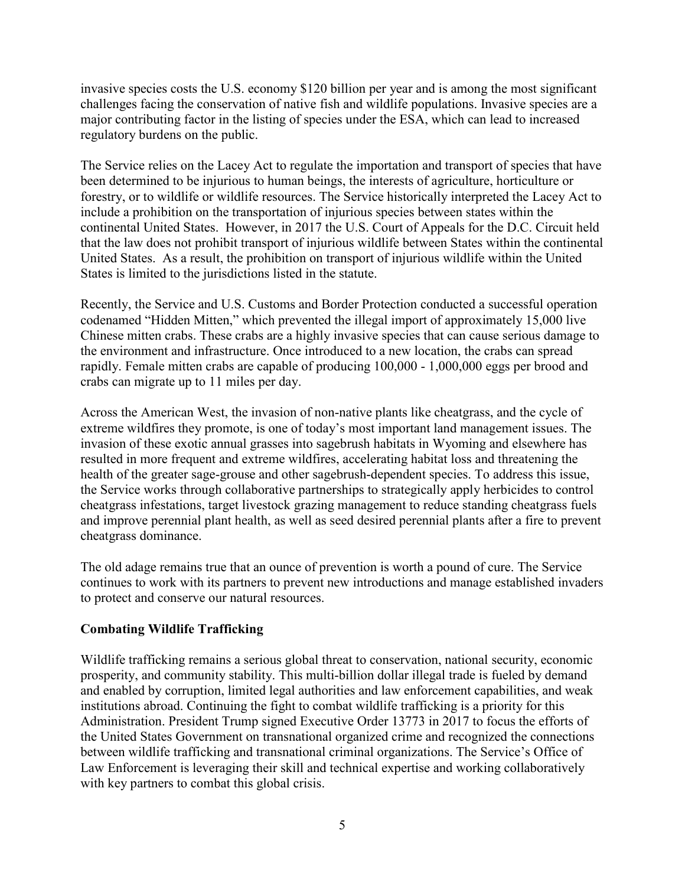invasive species costs the U.S. economy \$120 billion per year and is among the most significant challenges facing the conservation of native fish and wildlife populations. Invasive species are a major contributing factor in the listing of species under the ESA, which can lead to increased regulatory burdens on the public.

The Service relies on the Lacey Act to regulate the importation and transport of species that have been determined to be injurious to human beings, the interests of agriculture, horticulture or forestry, or to wildlife or wildlife resources. The Service historically interpreted the Lacey Act to include a prohibition on the transportation of injurious species between states within the continental United States. However, in 2017 the U.S. Court of Appeals for the D.C. Circuit held that the law does not prohibit transport of injurious wildlife between States within the continental United States. As a result, the prohibition on transport of injurious wildlife within the United States is limited to the jurisdictions listed in the statute.

Recently, the Service and U.S. Customs and Border Protection conducted a successful operation codenamed "Hidden Mitten," which prevented the illegal import of approximately 15,000 live Chinese mitten crabs. These crabs are a highly invasive species that can cause serious damage to the environment and infrastructure. Once introduced to a new location, the crabs can spread rapidly. Female mitten crabs are capable of producing 100,000 - 1,000,000 eggs per brood and crabs can migrate up to 11 miles per day.

Across the American West, the invasion of non-native plants like cheatgrass, and the cycle of extreme wildfires they promote, is one of today's most important land management issues. The invasion of these exotic annual grasses into sagebrush habitats in Wyoming and elsewhere has resulted in more frequent and extreme wildfires, accelerating habitat loss and threatening the health of the greater sage-grouse and other sagebrush-dependent species. To address this issue, the Service works through collaborative partnerships to strategically apply herbicides to control cheatgrass infestations, target livestock grazing management to reduce standing cheatgrass fuels and improve perennial plant health, as well as seed desired perennial plants after a fire to prevent cheatgrass dominance.

The old adage remains true that an ounce of prevention is worth a pound of cure. The Service continues to work with its partners to prevent new introductions and manage established invaders to protect and conserve our natural resources.

# **Combating Wildlife Trafficking**

Wildlife trafficking remains a serious global threat to conservation, national security, economic prosperity, and community stability. This multi-billion dollar illegal trade is fueled by demand and enabled by corruption, limited legal authorities and law enforcement capabilities, and weak institutions abroad. Continuing the fight to combat wildlife trafficking is a priority for this Administration. President Trump signed Executive Order 13773 in 2017 to focus the efforts of the United States Government on transnational organized crime and recognized the connections between wildlife trafficking and transnational criminal organizations. The Service's Office of Law Enforcement is leveraging their skill and technical expertise and working collaboratively with key partners to combat this global crisis.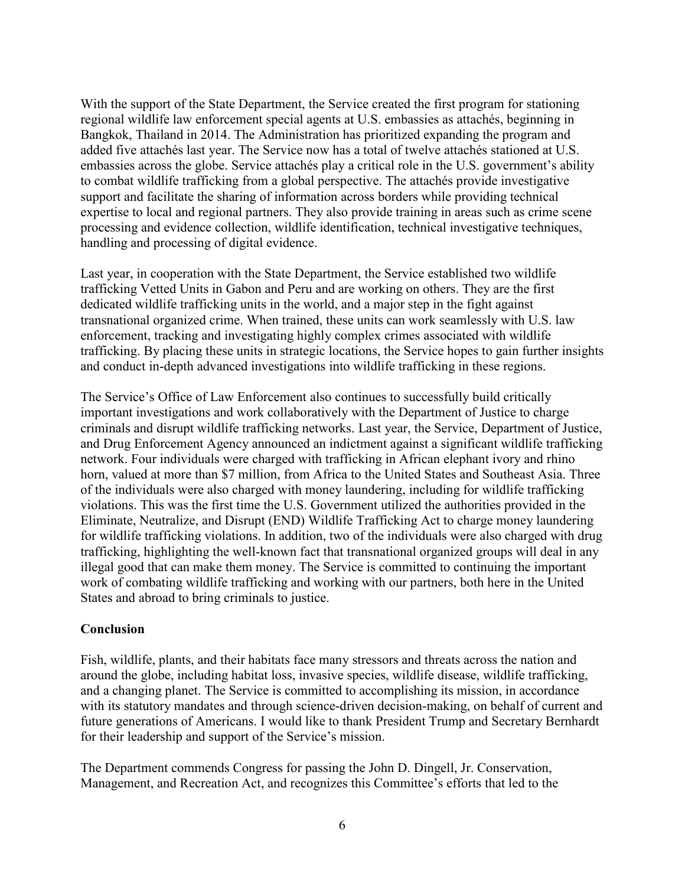With the support of the State Department, the Service created the first program for stationing regional wildlife law enforcement special agents at U.S. embassies as attachés, beginning in Bangkok, Thailand in 2014. The Administration has prioritized expanding the program and added five attachés last year. The Service now has a total of twelve attachés stationed at U.S. embassies across the globe. Service attachés play a critical role in the U.S. government's ability to combat wildlife trafficking from a global perspective. The attachés provide investigative support and facilitate the sharing of information across borders while providing technical expertise to local and regional partners. They also provide training in areas such as crime scene processing and evidence collection, wildlife identification, technical investigative techniques, handling and processing of digital evidence.

Last year, in cooperation with the State Department, the Service established two wildlife trafficking Vetted Units in Gabon and Peru and are working on others. They are the first dedicated wildlife trafficking units in the world, and a major step in the fight against transnational organized crime. When trained, these units can work seamlessly with U.S. law enforcement, tracking and investigating highly complex crimes associated with wildlife trafficking. By placing these units in strategic locations, the Service hopes to gain further insights and conduct in-depth advanced investigations into wildlife trafficking in these regions.

The Service's Office of Law Enforcement also continues to successfully build critically important investigations and work collaboratively with the Department of Justice to charge criminals and disrupt wildlife trafficking networks. Last year, the Service, Department of Justice, and Drug Enforcement Agency announced an indictment against a significant wildlife trafficking network. Four individuals were charged with trafficking in African elephant ivory and rhino horn, valued at more than \$7 million, from Africa to the United States and Southeast Asia. Three of the individuals were also charged with money laundering, including for wildlife trafficking violations. This was the first time the U.S. Government utilized the authorities provided in the Eliminate, Neutralize, and Disrupt (END) Wildlife Trafficking Act to charge money laundering for wildlife trafficking violations. In addition, two of the individuals were also charged with drug trafficking, highlighting the well-known fact that transnational organized groups will deal in any illegal good that can make them money. The Service is committed to continuing the important work of combating wildlife trafficking and working with our partners, both here in the United States and abroad to bring criminals to justice.

# **Conclusion**

Fish, wildlife, plants, and their habitats face many stressors and threats across the nation and around the globe, including habitat loss, invasive species, wildlife disease, wildlife trafficking, and a changing planet. The Service is committed to accomplishing its mission, in accordance with its statutory mandates and through science-driven decision-making, on behalf of current and future generations of Americans. I would like to thank President Trump and Secretary Bernhardt for their leadership and support of the Service's mission.

The Department commends Congress for passing the John D. Dingell, Jr. Conservation, Management, and Recreation Act, and recognizes this Committee's efforts that led to the